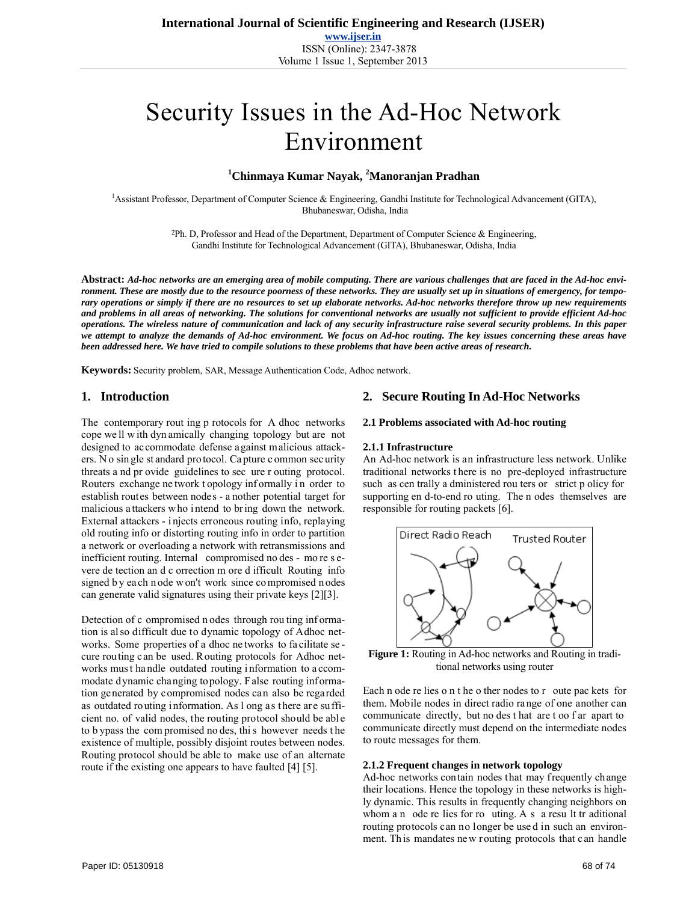# Security Issues in the Ad-Hoc Network Environment

# **1 Chinmaya Kumar Nayak, 2 Manoranjan Pradhan**

<sup>1</sup> Assistant Professor, Department of Computer Science & Engineering, Gandhi Institute for Technological Advancement (GITA), Bhubaneswar, Odisha, India

> <sup>2</sup>Ph. D, Professor and Head of the Department, Department of Computer Science & Engineering, Gandhi Institute for Technological Advancement (GITA), Bhubaneswar, Odisha, India

**Abstract:** *Ad-hoc networks are an emerging area of mobile computing. There are various challenges that are faced in the Ad-hoc environment. These are mostly due to the resource poorness of these networks. They are usually set up in situations of emergency, for temporary operations or simply if there are no resources to set up elaborate networks. Ad-hoc networks therefore throw up new requirements and problems in all areas of networking. The solutions for conventional networks are usually not sufficient to provide efficient Ad-hoc operations. The wireless nature of communication and lack of any security infrastructure raise several security problems. In this paper we attempt to analyze the demands of Ad-hoc environment. We focus on Ad-hoc routing. The key issues concerning these areas have been addressed here. We have tried to compile solutions to these problems that have been active areas of research.*

**Keywords:** Security problem, SAR, Message Authentication Code, Adhoc network.

## **1. Introduction**

The contemporary rout ing p rotocols for A dhoc networks cope we ll w ith dyn amically changing topology but are not designed to accommodate defense against malicious attackers. N o sin gle st andard pro tocol. Ca pture c ommon sec urity threats a nd pr ovide guidelines to sec ure r outing protocol. Routers exchange ne twork t opology informally in order to establish routes between nodes - a nother potential target for malicious a ttackers w ho i ntend to bring down the network. External attackers - i njects erroneous routing info, replaying old routing info or distorting routing info in order to partition a network or overloading a network with retransmissions and inefficient routing. Internal compromised no des - mo re s evere de tection an d c orrection m ore d ifficult Routing info signed by each node w on't work since compromised nodes can generate valid signatures using their private keys [2][3].

Detection of c ompromised n odes through rou ting inf ormation is al so difficult due to dynamic topology of Adhoc networks. Some properties of a dhoc ne tworks to fa cilitate se cure routing can be used. Routing protocols for Adhoc networks mus t ha ndle outdated routing i nformation to a ccommodate dynamic changing topology. False routing information generated by compromised nodes can also be regarded as outdated routing information. As l ong as t here are sufficient no. of valid nodes, the routing protocol should be abl e to b ypass the com promised no des, thi s however needs t he existence of multiple, possibly disjoint routes between nodes. Routing protocol should be able to make use of an alternate route if the existing one appears to have faulted [4] [5].

# **2. Secure Routing In Ad-Hoc Networks**

#### **2.1 Problems associated with Ad-hoc routing**

#### **2.1.1 Infrastructure**

An Ad-hoc network is an infrastructure less network. Unlike traditional networks t here is no pre-deployed infrastructure such as cen trally a dministered rou ters or strict p olicy for supporting en d-to-end ro uting. The n odes themselves are responsible for routing packets [6].



**Figure 1:** Routing in Ad-hoc networks and Routing in traditional networks using router

Each n ode re lies o n t he o ther nodes to r oute pac kets for them. Mobile nodes in direct radio range of one another can communicate directly, but no des t hat are t oo f ar apart to communicate directly must depend on the intermediate nodes to route messages for them.

#### **2.1.2 Frequent changes in network topology**

Ad-hoc networks contain nodes that may frequently change their locations. Hence the topology in these networks is highly dynamic. This results in frequently changing neighbors on whom a n ode re lies for ro uting. A s a result tr aditional routing protocols can no longer be use d in such an environment. This mandates new routing protocols that can handle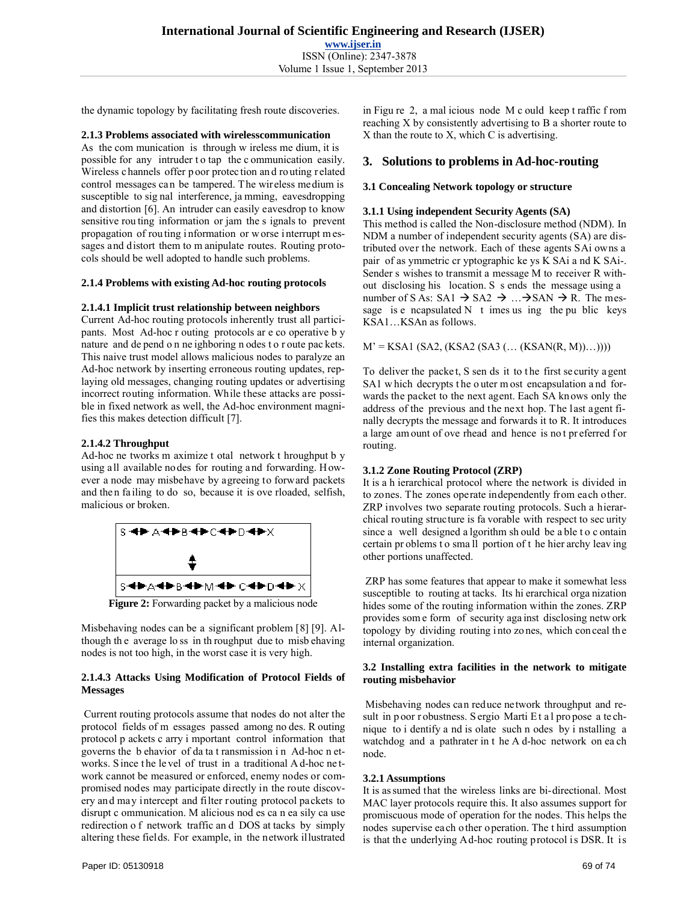the dynamic topology by facilitating fresh route discoveries.

#### **2.1.3 Problems associated with wirelesscommunication**

As the com munication is through w ireless me dium, it is possible for any intruder t o tap the c ommunication easily. Wireless c hannels offer p oor protec tion an d ro uting r elated control messages can be tampered. The wireless medium is susceptible to sig nal interference, ja mming, eavesdropping and distortion [6]. An intruder can easily eavesdrop to know sensitive rou ting information or jam the s ignals to prevent propagation of rou ting i nformation or w orse i nterrupt m essages and distort them to m anipulate routes. Routing protocols should be well adopted to handle such problems.

#### **2.1.4 Problems with existing Ad-hoc routing protocols**

#### **2.1.4.1 Implicit trust relationship between neighbors**

Current Ad-hoc routing protocols inherently trust all participants. Most Ad-hoc r outing protocols ar e co operative b y nature and de pend on ne ighboring n odes to r oute packets. This naive trust model allows malicious nodes to paralyze an Ad-hoc network by inserting erroneous routing updates, replaying old messages, changing routing updates or advertising incorrect routing information. While these attacks are possible in fixed network as well, the Ad-hoc environment magnifies this makes detection difficult [7].

#### **2.1.4.2 Throughput**

Ad-hoc ne tworks m aximize t otal network t hroughput b y using all available nodes for routing and forwarding. However a node may misbehave by agreeing to forward packets and the n fa iling to do so, because it is ove rloaded, selfish, malicious or broken.



**Figure 2:** Forwarding packet by a malicious node

Misbehaving nodes can be a significant problem [8] [9]. Although th e average lo ss in th roughput due to misb ehaving nodes is not too high, in the worst case it is very high.

#### **2.1.4.3 Attacks Using Modification of Protocol Fields of Messages**

 Current routing protocols assume that nodes do not alter the protocol fields of m essages passed among no des. R outing protocol p ackets c arry i mportant control information that governs the b ehavior of da ta t ransmission i n Ad-hoc n etworks. Since the level of trust in a traditional A d-hoc network cannot be measured or enforced, enemy nodes or compromised nodes may participate directly in the route discovery and may intercept and filter routing protocol packets to disrupt c ommunication. M alicious nod es ca n ea sily ca use redirection o f network traffic an d DOS at tacks by simply altering these fields. For example, in the network illustrated

## **3. Solutions to problems in Ad-hoc-routing**

#### **3.1 Concealing Network topology or structure**

#### **3.1.1 Using independent Security Agents (SA)**

This method is called the Non-disclosure method (NDM). In NDM a number of independent security agents (SA) are distributed over the network. Each of these agents SAi owns a pair of as ymmetric cr yptographic ke ys K SAi a nd K SAi-. Sender s wishes to transmit a message M to receiver R without disclosing his location. S s ends the message using a number of S As: SA1  $\rightarrow$  SA2  $\rightarrow$  ...  $\rightarrow$  SAN  $\rightarrow$  R. The message is e ncapsulated  $N$  t imes us ing the pu blic keys KSA1…KSAn as follows.

 $M' = KSA1 (SA2, (KSA2 (SA3 (... (KSAN(R, M))...))))$ 

To deliver the packet, S sen ds it to the first se curity a gent SA1 w hich decrypts the outer m ost encapsulation and forwards the packet to the next agent. Each SA knows only the address of the previous and the next hop. The last agent finally decrypts the message and forwards it to R. It introduces a large am ount of ove rhead and hence is not pr eferred for routing.

#### **3.1.2 Zone Routing Protocol (ZRP)**

It is a h ierarchical protocol where the network is divided in to zones. The zones operate independently from each other. ZRP involves two separate routing protocols. Such a hierarchical routing structure is fa vorable with respect to sec urity since a well designed a lgorithm should be a ble to c ontain certain pr oblems t o sma ll portion of t he hier archy leav ing other portions unaffected.

 ZRP has some features that appear to make it somewhat less susceptible to routing at tacks. Its hi erarchical orga nization hides some of the routing information within the zones. ZRP provides som e form of security aga inst disclosing netw ork topology by dividing routing i nto zo nes, which con ceal th e internal organization.

#### **3.2 Installing extra facilities in the network to mitigate routing misbehavior**

 Misbehaving nodes can reduce network throughput and result in p oor r obustness. S ergio Marti E t a l pro pose a te chnique to i dentify a nd is olate such n odes by i nstalling a watchdog and a pathrater in t he A d-hoc network on ea ch node.

#### **3.2.1 Assumptions**

It is as sumed that the wireless links are bi-directional. Most MAC layer protocols require this. It also assumes support for promiscuous mode of operation for the nodes. This helps the nodes supervise each other operation. The t hird assumption is that the underlying Ad-hoc routing protocol is DSR. It is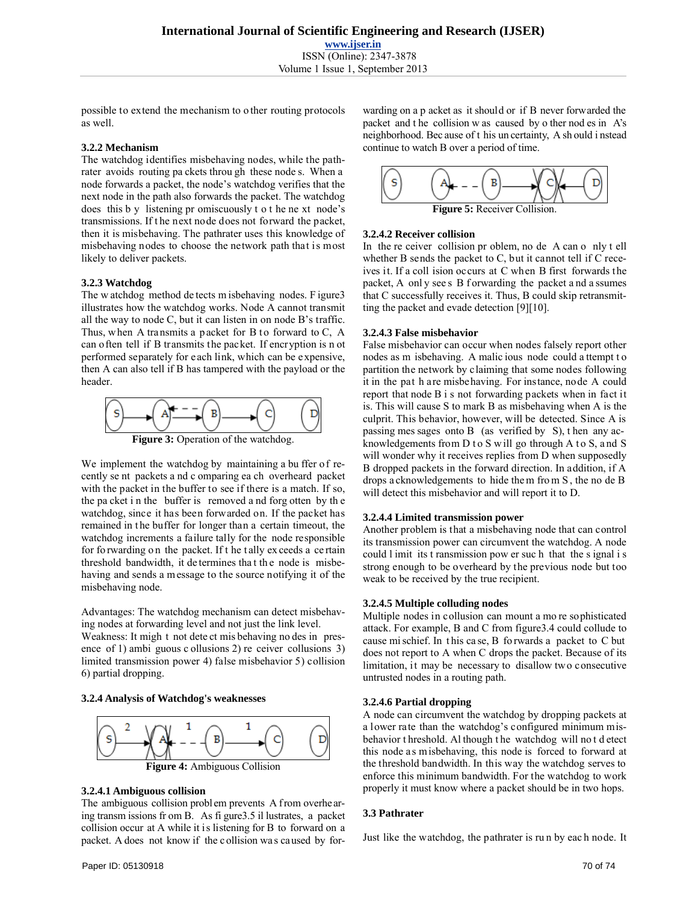possible to extend the mechanism to o ther routing protocols as well.

#### **3.2.2 Mechanism**

The watchdog identifies misbehaving nodes, while the pathrater avoids routing pa ckets throu gh these node s. When a node forwards a packet, the node's watchdog verifies that the next node in the path also forwards the packet. The watchdog does this b y listening pr omiscuously t o t he ne xt node's transmissions. If t he next node does not forward the packet, then it is misbehaving. The pathrater uses this knowledge of misbehaving nodes to choose the network path that is most likely to deliver packets.

## **3.2.3 Watchdog**

The w atchdog method de tects m isbehaving nodes. F igure3 illustrates how the watchdog works. Node A cannot transmit all the way to node C, but it can listen in on node B's traffic. Thus, when A transmits a packet for B to forward to  $C$ , A can often tell if B transmits the packet. If encryption is n ot performed separately for e ach link, which can be expensive, then A can also tell if B has tampered with the payload or the header.



**Figure 3:** Operation of the watchdog.

We implement the watchdog by maintaining a bu ffer of recently se nt packets a nd c omparing ea ch overheard packet with the packet in the buffer to see if there is a match. If so, the pa cket i n the buffer is removed a nd forg otten by th e watchdog, since it has been forwarded on. If the packet has remained in t he buffer for longer than a certain timeout, the watchdog increments a failure tally for the node responsible for fo rwarding on the packet. If t he t ally ex ceeds a certain threshold bandwidth, it de termines tha t th e node is misbehaving and sends a m essage to the source notifying it of the misbehaving node.

Advantages: The watchdog mechanism can detect misbehaving nodes at forwarding level and not just the link level. Weakness: It migh t not dete ct mis behaving no des in presence of 1) ambi guous c ollusions 2) re ceiver collusions 3) limited transmission power 4) false misbehavior 5) collision 6) partial dropping.

# **3.2.4 Analysis of Watchdog's weaknesses**



#### **3.2.4.1 Ambiguous collision**

The ambiguous collision problem prevents A from overhearing transm issions fr om B. As fi gure3.5 il lustrates, a packet collision occur at A while it is listening for B to forward on a packet. A does not know if the collision was caused by forwarding on a p acket as it should or if B never forwarded the packet and t he collision w as caused by o ther nod es in A's neighborhood. Bec ause of t his un certainty, A sh ould i nstead continue to watch B over a period of time.



## **3.2.4.2 Receiver collision**

In the re ceiver collision pr oblem, no de A can o nly t ell whether B sends the packet to C, but it cannot tell if C receives it. If a coll ision occurs at C when B first forwards the packet, A only see s B f orwarding the packet and a ssumes that C successfully receives it. Thus, B could skip retransmitting the packet and evade detection [9][10].

## **3.2.4.3 False misbehavior**

False misbehavior can occur when nodes falsely report other nodes as m isbehaving. A malic ious node could a ttempt t o partition the network by claiming that some nodes following it in the pat h are misbehaving. For instance, node A could report that node B i s not forwarding packets when in fact it is. This will cause S to mark B as misbehaving when A is the culprit. This behavior, however, will be detected. Since A is passing mes sages onto B (as verified by S), t hen any acknowledgements from  $D$  to  $S$  w ill go through  $A$  to  $S$ , and  $S$ will wonder why it receives replies from D when supposedly B dropped packets in the forward direction. In addition, if A drops a cknowledgements to hide the m fro m S , the no de B will detect this misbehavior and will report it to D.

# **3.2.4.4 Limited transmission power**

Another problem is that a misbehaving node that can control its transmission power can circumvent the watchdog. A node could l imit its t ransmission pow er suc h that the s ignal i s strong enough to be overheard by the previous node but too weak to be received by the true recipient.

#### **3.2.4.5 Multiple colluding nodes**

Multiple nodes in collusion can mount a mo re sophisticated attack. For example, B and C from figure3.4 could collude to cause mi schief. In t his ca se, B fo rwards a packet to C but does not report to A when C drops the packet. Because of its limitation, it may be necessary to disallow two consecutive untrusted nodes in a routing path.

# **3.2.4.6 Partial dropping**

A node can circumvent the watchdog by dropping packets at a lower rate than the watchdog's configured minimum misbehavior t hreshold. Al though t he watchdog will no t d etect this node as misbehaving, this node is forced to forward at the threshold bandwidth. In this way the watchdog serves to enforce this minimum bandwidth. For the watchdog to work properly it must know where a packet should be in two hops.

# **3.3 Pathrater**

Just like the watchdog, the pathrater is ru n by eac h node. It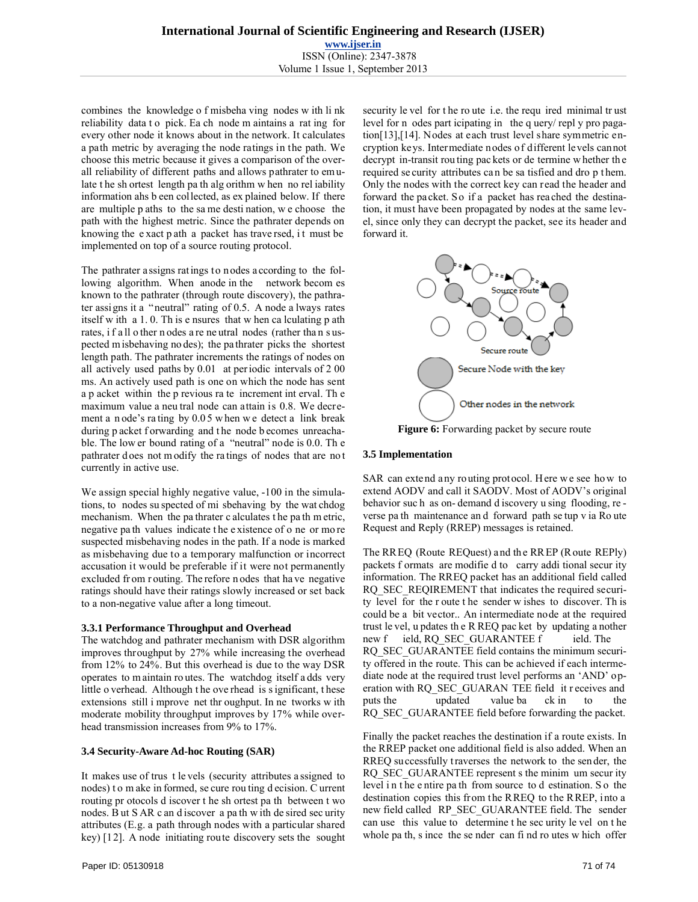combines the knowledge o f misbeha ving nodes w ith li nk reliability data t o pick. Ea ch node m aintains a rat ing for every other node it knows about in the network. It calculates a path metric by averaging the node ratings in the path. We choose this metric because it gives a comparison of the overall reliability of different paths and allows pathrater to emulate t he sh ortest length pa th alg orithm w hen no rel iability information ahs b een collected, as ex plained below. If there are multiple p aths to the sa me desti nation, w e choose the path with the highest metric. Since the pathrater depends on knowing the exact p ath a packet has trave rsed, it must be implemented on top of a source routing protocol.

The pathrater assigns ratings to nodes according to the following algorithm. When anode in the network becom es known to the pathrater (through route discovery), the pathrater assigns it a "neutral" rating of 0.5. A node a lways rates itself w ith a 1. 0. Th is e nsures that w hen ca lculating p ath rates, i f a ll o ther n odes a re ne utral nodes (rather tha n s uspected m isbehaving no des); the pa thrater picks the shortest length path. The pathrater increments the ratings of nodes on all actively used paths by 0.01 at per iodic intervals of 2 00 ms. An actively used path is one on which the node has sent a p acket within the p revious ra te increment int erval. Th e maximum value a neu tral node can attain is 0.8. We decrement a n ode's rating by  $0.05$  when we detect a link break during p acket forwarding and the node b ecomes unreachable. The low er bound rating of a "neutral" node is 0.0. Th e pathrater d oes not m odify the ra tings of nodes that are no t currently in active use.

We assign special highly negative value,  $-100$  in the simulations, to nodes su spected of mi sbehaving by the wat chdog mechanism. When the pa thrater c alculates t he pa th m etric, negative pa th values indicate t he e xistence of o ne or mo re suspected misbehaving nodes in the path. If a node is marked as misbehaving due to a temporary malfunction or incorrect accusation it would be preferable if it were not permanently excluded fr om r outing. The refore n odes that ha ve negative ratings should have their ratings slowly increased or set back to a non-negative value after a long timeout.

# **3.3.1 Performance Throughput and Overhead**

The watchdog and pathrater mechanism with DSR algorithm improves throughput by 27% while increasing the overhead from 12% to 24%. But this overhead is due to the way DSR operates to m aintain ro utes. The watchdog itself a dds very little o verhead. Although t he ove rhead is s ignificant, t hese extensions still i mprove net thr oughput. In ne tworks w ith moderate mobility throughput improves by 17% while overhead transmission increases from 9% to 17%.

# **3.4 Security-Aware Ad-hoc Routing (SAR)**

It makes use of trus t le vels (security attributes a ssigned to nodes) t o m ake in formed, se cure rou ting d ecision. C urrent routing pr otocols d iscover t he sh ortest pa th between t wo nodes. B ut S AR c an d iscover a pa th w ith de sired sec urity attributes (E.g. a path through nodes with a particular shared key) [12]. A node initiating route discovery sets the sought security le vel for t he ro ute i.e. the requ ired minimal tr ust level for n odes part icipating in the q uery/ repl y pro pagation[13],[14]. Nodes at each trust level share symmetric encryption keys. Intermediate nodes of different levels cannot decrypt in-transit rou ting pac kets or de termine w hether th e required se curity attributes ca n be sa tisfied and dro p t hem. Only the nodes with the correct key can read the header and forward the packet. So if a packet has reached the destination, it must have been propagated by nodes at the same level, since only they can decrypt the packet, see its header and forward it.



**Figure 6:** Forwarding packet by secure route

# **3.5 Implementation**

SAR can extend any routing protocol. Here we see how to extend AODV and call it SAODV. Most of AODV's original behavior suc h as on- demand d iscovery u sing flooding, re verse pa th maintenance an d forward path se tup v ia Ro ute Request and Reply (RREP) messages is retained.

The RREQ (Route REQuest) and the RREP (Route REPly) packets f ormats are modifie d to carry addi tional secur ity information. The RREQ packet has an additional field called RQ\_SEC\_REQIREMENT that indicates the required security level for the r oute t he sender w ishes to discover. Th is could be a bit vector.. An intermediate node at the required trust le vel, u pdates th e R REQ pac ket by updating a nother new f ield, RQ SEC GUARANTEE f ield. The RQ\_SEC\_GUARANTEE field contains the minimum security offered in the route. This can be achieved if each intermediate node at the required trust level performs an 'AND' operation with RQ\_SEC\_GUARAN TEE field it r eceives and puts the updated value ba ck in to the RQ\_SEC\_GUARANTEE field before forwarding the packet.

Finally the packet reaches the destination if a route exists. In the RREP packet one additional field is also added. When an RREQ successfully traverses the network to the sender, the RQ\_SEC\_GUARANTEE represent s the minim um secur ity level in the entire pa th from source to d estination. So the destination copies this from the RREQ to the RREP, into a new field called RP\_SEC\_GUARANTEE field. The sender can use this value to determine t he sec urity le vel on t he whole pa th, s ince the se nder can fi nd ro utes w hich offer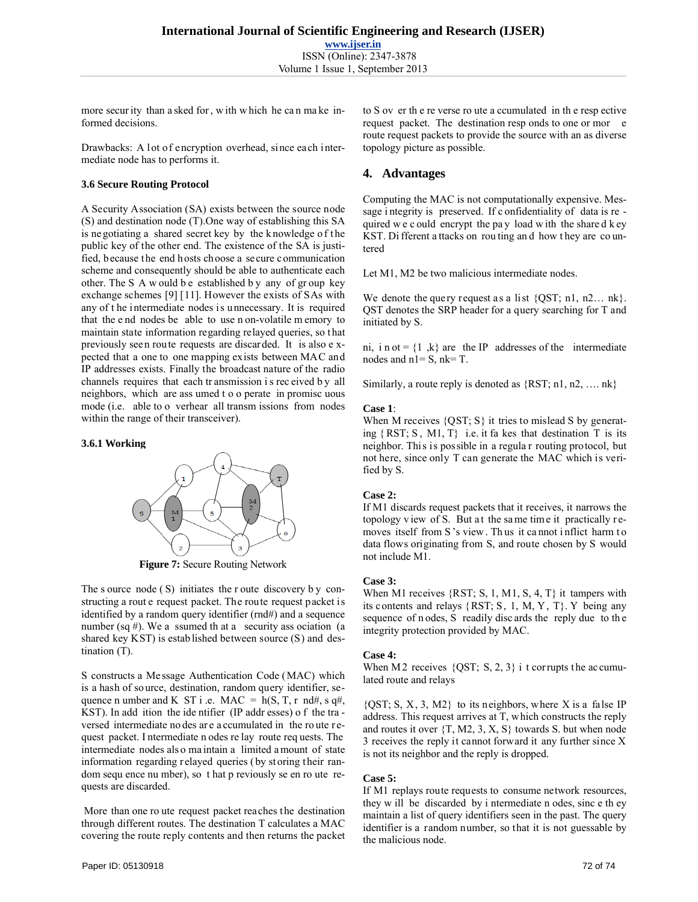more secur ity than a sked for , w ith w hich he ca n ma ke informed decisions.

Drawbacks: A lot of encryption overhead, since each intermediate node has to performs it.

#### **3.6 Secure Routing Protocol**

A Security Association (SA) exists between the source node (S) and destination node (T).One way of establishing this SA is ne gotiating a shared secret key by the k nowledge of the public key of the other end. The existence of the SA is justified, because the end hosts choose a secure communication scheme and consequently should be able to authenticate each other. The S A w ould b e established b y any of gr oup key exchange schemes [9] [11]. However the exists of SAs with any of the intermediate nodes is unnecessary. It is required that the e nd nodes be able to use n on-volatile m emory to maintain state information regarding relayed queries, so t hat previously seen route requests are discarded. It is also e xpected that a one to one mapping exists between MAC and IP addresses exists. Finally the broadcast nature of the radio channels requires that each tr ansmission i s rec eived b y all neighbors, which are ass umed t o o perate in promisc uous mode (i.e. able to o verhear all transm issions from nodes within the range of their transceiver).

#### **3.6.1 Working**



**Figure 7:** Secure Routing Network

The s ource node (S) initiates the r oute discovery b y constructing a rout e request packet. The route request packet is identified by a random query identifier (rnd#) and a sequence number (sq  $#$ ). We a ssumed th at a security ass ociation (a shared key KST) is estab lished between source (S) and destination (T).

S constructs a Message Authentication Code (MAC) which is a hash of so urce, destination, random query identifier, sequence n umber and K ST i .e. MAC =  $h(S, T, r \text{ nd}\#, s \text{ q}\#, s \text{ q}\#, s \text{ q}\#, s \text{ q}\#, s \text{ q}\#, s \text{ q}\#, s \text{ q}\#, s \text{ q}\#, s \text{ q}\#, s \text{ q}\#, s \text{ q}\#, s \text{ q}\#, s \text{ q}\#, s \text{ q}\#, s \text{ q}\#, s \text{ q}\#, s \text{ q}\#, s \text{ q}\#, s \text{ q}\#, s \text{ q}\#, s \text{ q}\#, s \text$ KST). In add ition the ide ntifier (IP addr esses) o f the tra versed intermediate no des ar e a ccumulated in the ro ute r equest packet. I ntermediate n odes re lay route req uests. The intermediate nodes als o ma intain a limited a mount of state information regarding relayed queries (by storing their random sequ ence nu mber), so t hat p reviously se en ro ute requests are discarded.

 More than one ro ute request packet reaches the destination through different routes. The destination T calculates a MAC covering the route reply contents and then returns the packet to S ov er th e re verse ro ute a ccumulated in th e resp ective request packet. The destination resp onds to one or mor e route request packets to provide the source with an as diverse topology picture as possible.

# **4. Advantages**

Computing the MAC is not computationally expensive. Message i ntegrity is preserved. If c onfidentiality of data is re quired w e c ould encrypt the pa y load w ith the share d k ey KST. Di fferent a ttacks on rou ting an d how t hey are co untered

Let M1, M2 be two malicious intermediate nodes.

We denote the query request as a list  $\{QST; n1, n2... nk\}$ . QST denotes the SRP header for a query searching for T and initiated by S.

ni, i n ot =  $\{1, k\}$  are the IP addresses of the intermediate nodes and  $n1 = S$ ,  $nk = T$ .

Similarly, a route reply is denoted as  $\{RST; n1, n2, \ldots, nk\}$ 

#### **Case 1**:

When M receives  $\{QST; S\}$  it tries to mislead S by generating  ${RST; S, M1, T}$  i.e. it fa kes that destination T is its neighbor. This is possible in a regula r routing protocol, but not here, since only T can generate the MAC which is verified by S.

#### **Case 2:**

If M1 discards request packets that it receives, it narrows the topology view of S. But at the same time it practically removes itself from S's view. Thus it cannot inflict harm to data flows originating from S, and route chosen by S would not include M1.

#### **Case 3:**

When M1 receives  $\{RST, S, 1, M1, S, 4, T\}$  it tampers with its contents and relays  $\{RST, S, 1, M, Y, T\}$ . Y being any sequence of n odes, S readily disc ards the reply due to th e integrity protection provided by MAC.

# **Case 4:**

When M2 receives  $\{QST; S, 2, 3\}$  i t corrupts the ac cumulated route and relays

 ${QST; S, X, 3, M2}$  to its neighbors, where X is a false IP address. This request arrives at T, which constructs the reply and routes it over  $\{T, M2, 3, X, S\}$  towards S. but when node 3 receives the reply it cannot forward it any further since X is not its neighbor and the reply is dropped.

# **Case 5:**

If M1 replays route requests to consume network resources, they w ill be discarded by i ntermediate n odes, sinc e th ey maintain a list of query identifiers seen in the past. The query identifier is a random number, so that it is not guessable by the malicious node.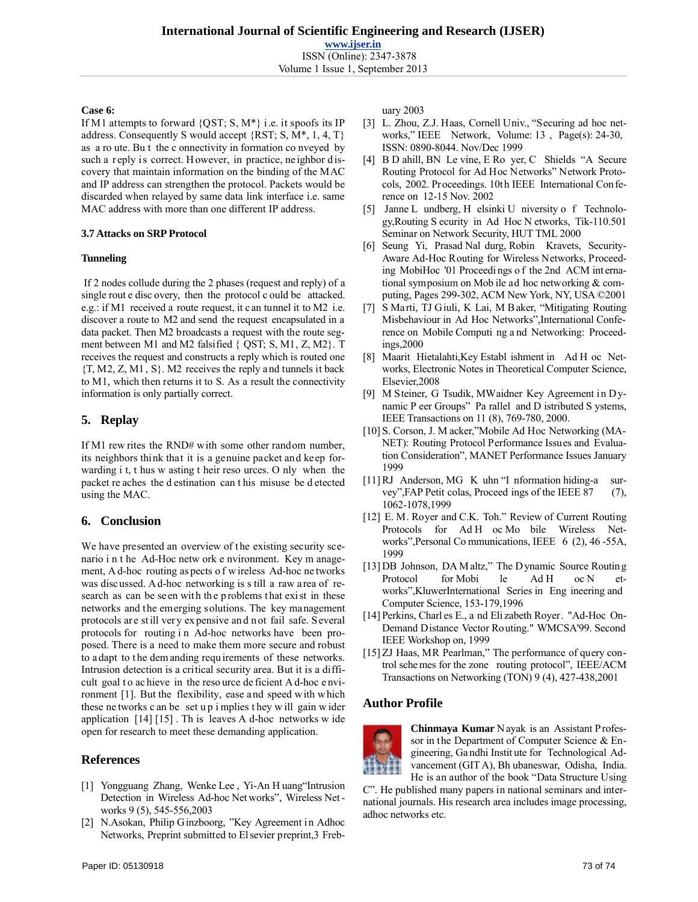## **Case 6:**

If M1 attempts to forward  $\{QST; S, M^*\}\$ i.e. it spoofs its IP address. Consequently S would accept  $\{RST, S, M^*, 1, 4, T\}$ as a ro ute. Bu t the c onnectivity in formation co nveyed by such a reply is correct. However, in practice, neighbor discovery that maintain information on the binding of the MAC and IP address can strengthen the protocol. Packets would be discarded when relayed by same data link interface i.e. same MAC address with more than one different IP address.

#### **3.7 Attacks on SRP Protocol**

#### **Tunneling**

 If 2 nodes collude during the 2 phases (request and reply) of a single rout e disc overy, then the protocol c ould be attacked. e.g.: if M1 received a route request, it can tunnel it to M2 i.e. discover a route to M2 and send the request encapsulated in a data packet. Then M2 broadcasts a request with the route segment between M1 and M2 falsified { QST; S, M1, Z, M2}. T receives the request and constructs a reply which is routed one {T, M2, Z, M1, S}. M2 receives the reply and tunnels it back to M1, which then returns it to S. As a result the connectivity information is only partially correct.

# **5. Replay**

If M1 rew rites the RND# with some other random number, its neighbors think that it is a genuine packet and keep forwarding i t, t hus w asting t heir reso urces. O nly when the packet re aches the d estination can t his misuse be d etected using the MAC.

# **6. Conclusion**

We have presented an overview of the existing security scenario i n t he Ad-Hoc netw ork e nvironment. Key m anagement, A d-hoc routing as pects o f w ireless Ad-hoc ne tworks was discussed. Ad-hoc networking is s till a raw area of research as can be seen with the p roblems that exist in these networks and the emerging solutions. The key management protocols are st ill very ex pensive an d n ot fail safe. S everal protocols for routing i n Ad-hoc networks have been proposed. There is a need to make them more secure and robust to a dapt to t he dem anding requ irements of these networks. Intrusion detection is a critical security area. But it is a difficult goal to achieve in the reso urce de ficient A d-hoc e nvironment [1]. But the flexibility, ease and speed with which these ne tworks c an be set u p i mplies t hey w ill gain w ider application [14] [15] . Th is leaves A d-hoc networks w ide open for research to meet these demanding application.

# **References**

- [1] Yongguang Zhang, Wenke Lee, Yi-An H uang"Intrusion Detection in Wireless Ad-hoc Net works", Wireless Net works 9 (5), 545-556,2003
- [2] N.Asokan, Philip Ginzboorg, "Key Agreement in Adhoc Networks, Preprint submitted to El sevier preprint,3 Freb-

uary 2003

- [3] L. Zhou, Z.J. Haas, Cornell Univ., "Securing ad hoc networks," IEEE Network, Volume: 13 , Page(s): 24-30, ISSN: 0890-8044. Nov/Dec 1999
- [4] B D ahill, BN Le vine, E Ro yer, C Shields "A Secure Routing Protocol for Ad Hoc Networks" Network Protocols, 2002. Proceedings. 10th IEEE International Conference on 12-15 Nov. 2002
- [5] Janne L undberg, H elsinki U niversity o f Technology,Routing S ecurity in Ad Hoc N etworks, Tik-110.501 Seminar on Network Security, HUT TML 2000
- [6] Seung Yi, Prasad Nal durg, Robin Kravets, Security-Aware Ad-Hoc Routing for Wireless Networks, Proceeding MobiHoc '01 Proceedi ngs o f the 2nd ACM int ernational symposium on Mob ile ad hoc networking & computing, Pages 299-302, ACM New York, NY, USA ©2001
- [7] S Marti, TJ Giuli, K Lai, M Baker, "Mitigating Routing Misbehaviour in Ad Hoc Networks",International Conference on Mobile Computi ng a nd Networking: Proceedings,2000
- [8] Maarit Hietalahti,Key Establ ishment in Ad H oc Networks, Electronic Notes in Theoretical Computer Science, Elsevier,2008
- [9] M Steiner, G Tsudik, MWaidner Key Agreement in Dynamic P eer Groups" Pa rallel and D istributed S ystems, IEEE Transactions on 11 (8), 769-780, 2000.
- [10] S. Corson, J. M acker,"Mobile Ad Hoc Networking (MA-NET): Routing Protocol Performance Issues and Evaluation Consideration", MANET Performance Issues January 1999
- [11]RJ Anderson, MG K uhn "I nformation hiding-a survey",FAP Petit colas, Proceed ings of the IEEE 87 (7), 1062-1078,1999
- [12] E. M. Royer and C.K. Toh." Review of Current Routing Protocols for Ad H oc Mo bile Wireless Networks",Personal Co mmunications, IEEE 6 (2), 46 -55A, 1999
- [13] DB Johnson, DA M altz," The D ynamic Source Routing Protocol for Mobi le Ad H oc N etworks",KluwerInternational Series in Eng ineering and Computer Science, 153-179,1996
- [14] Perkins, Charl es E., a nd Eli zabeth Royer. "Ad-Hoc On-Demand Distance Vector Routing." WMCSA'99. Second IEEE Workshop on, 1999
- [15] ZJ Haas, MR Pearlman," The performance of query control schemes for the zone routing protocol", IEEE/ACM Transactions on Networking (TON) 9 (4), 427-438,2001

# **Author Profile**



**Chinmaya Kumar** Nayak is an Assistant Professor in the Department of Computer Science & Engineering, Ga ndhi Instit ute for Technological Advancement (GIT A), Bh ubaneswar, Odisha, India. He is an author of the book "Data Structure Using

C". He published many papers in national seminars and international journals. His research area includes image processing, adhoc networks etc.